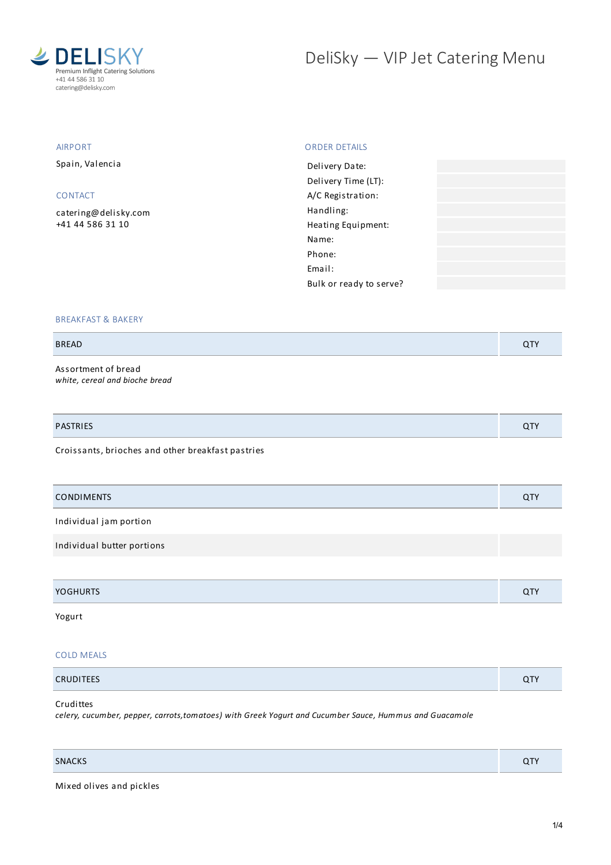

# DeliSky - VIP Jet Catering Menu

### AIRPORT

Spain, Valencia

# CONTACT

[catering@delisky.com](mailto:catering@delisky.com) +41 44 586 31 10

### ORDER DETAILS

| Delivery Date:          |  |
|-------------------------|--|
| Delivery Time (LT):     |  |
| A/C Registration:       |  |
| Handling:               |  |
| Heating Equipment:      |  |
| Name:                   |  |
| Phone:                  |  |
| Email:                  |  |
| Bulk or ready to serve? |  |
|                         |  |

### BREAKFAST & BAKERY

### BREAD QTY

Assortment of bread *white, cereal and bioche bread*

| <b>PASTRIES</b> | . . |
|-----------------|-----|
|                 |     |

Croissants, brioches and other breakfast pastries

| <b>CONDIMENTS</b>          | QTY |
|----------------------------|-----|
| Individual jam portion     |     |
| Individual butter portions |     |
|                            |     |
| <b>YOGHURTS</b>            | QTY |

# Yogurt

#### COLD MEALS

| CRUDITEES | $\overline{\phantom{a}}$ |
|-----------|--------------------------|
|           |                          |

## **Crudittes**

*celery, cucumber, pepper, carrots,tomatoes) with Greek Yogurt and Cucumber Sauce, Hummus and Guacamole*

Mixed olives and pickles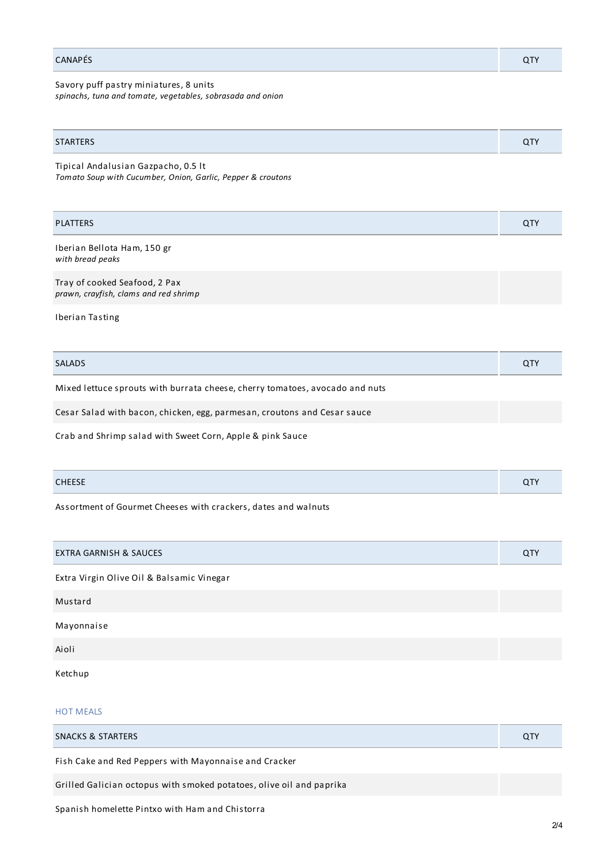## CANAPÉS QTY

Savory puff pastry miniatures, 8 units *spinachs, tuna and tomate, vegetables, sobrasada and onion*

| <b>STARTERS</b> | ◡ |
|-----------------|---|
|                 |   |

Tipical Andalusian Gazpacho, 0.5 lt *Tomato Soup with Cucumber, Onion, Garlic, Pepper & croutons*

| <b>PLATTERS</b>                                                        | <b>QTY</b> |
|------------------------------------------------------------------------|------------|
| Iberian Bellota Ham, 150 gr<br>with bread peaks                        |            |
| Tray of cooked Seafood, 2 Pax<br>prawn, crayfish, clams and red shrimp |            |

Iberian Tasting

| <b>SALADS</b>                                                                | <b>QTY</b> |
|------------------------------------------------------------------------------|------------|
| Mixed lettuce sprouts with burrata cheese, cherry tomatoes, avocado and nuts |            |
| Cesar Salad with bacon, chicken, egg, parmesan, croutons and Cesar sauce     |            |

Crab and Shrimp salad with Sweet Corn, Apple & pink Sauce

| <b>CLIP</b> |  |
|-------------|--|
|             |  |

Assortment of Gourmet Cheeses with crackers, dates and walnuts

| <b>EXTRA GARNISH &amp; SAUCES</b>         | QTY |
|-------------------------------------------|-----|
| Extra Virgin Olive Oil & Balsamic Vinegar |     |
| Mustard                                   |     |
| Mayonnaise                                |     |
| Aioli                                     |     |
|                                           |     |

Ketchup

### HOT MEALS

| SNACKS & STARTERS                                                    | QTY |
|----------------------------------------------------------------------|-----|
| Fish Cake and Red Peppers with Mayonnaise and Cracker                |     |
| Grilled Galician octopus with smoked potatoes, olive oil and paprika |     |
| a the home of the later                                              |     |

Spanish homelette Pintxo with Ham and Chistorra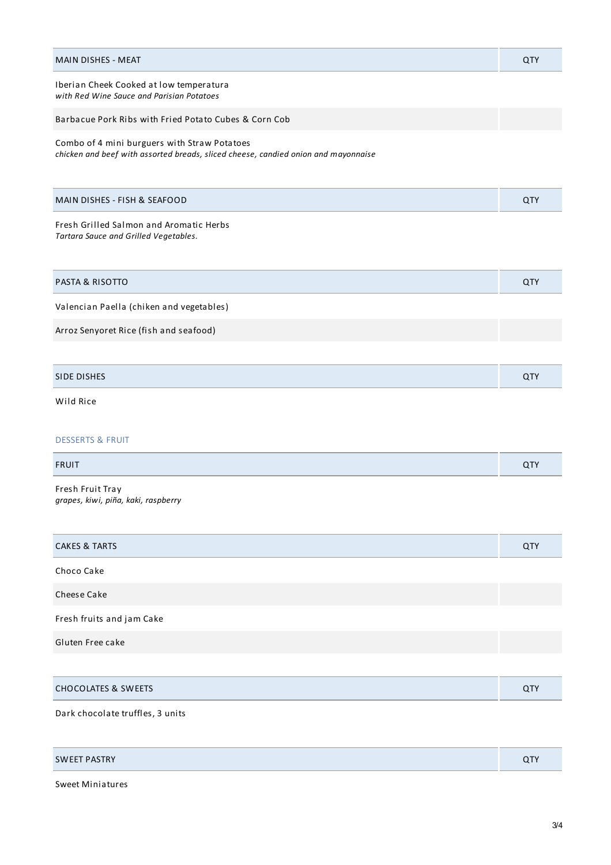| <b>MAIN DISHES - MEAT</b>                                                                                                          | QTY |
|------------------------------------------------------------------------------------------------------------------------------------|-----|
| Iberian Cheek Cooked at low temperatura<br>with Red Wine Sauce and Parisian Potatoes                                               |     |
| Barbacue Pork Ribs with Fried Potato Cubes & Corn Cob                                                                              |     |
| Combo of 4 mini burguers with Straw Potatoes<br>chicken and beef with assorted breads, sliced cheese, candied onion and mayonnaise |     |
| MAIN DISHES - FISH & SEAFOOD                                                                                                       | QTY |
| Fresh Grilled Salmon and Aromatic Herbs<br>Tartara Sauce and Grilled Vegetables.                                                   |     |
| <b>PASTA &amp; RISOTTO</b>                                                                                                         | QTY |
| Valencian Paella (chiken and vegetables)                                                                                           |     |
| Arroz Senyoret Rice (fish and seafood)                                                                                             |     |
|                                                                                                                                    |     |
| <b>SIDE DISHES</b>                                                                                                                 | QTY |
| Wild Rice                                                                                                                          |     |
| <b>DESSERTS &amp; FRUIT</b>                                                                                                        |     |
| <b>FRUIT</b>                                                                                                                       | QTY |
| Fresh Fruit Tray<br>grapes, kiwi, piña, kaki, raspberry                                                                            |     |
| <b>CAKES &amp; TARTS</b>                                                                                                           | QTY |
| Choco Cake                                                                                                                         |     |
| Cheese Cake                                                                                                                        |     |
| Fresh fruits and jam Cake                                                                                                          |     |
| Gluten Free cake                                                                                                                   |     |
|                                                                                                                                    |     |
| <b>CHOCOLATES &amp; SWEETS</b>                                                                                                     | QTY |
| Dark chocolate truffles, 3 units                                                                                                   |     |

| <b>SWEET PASTRY</b> | ~- |
|---------------------|----|
|---------------------|----|

Sweet Miniatures